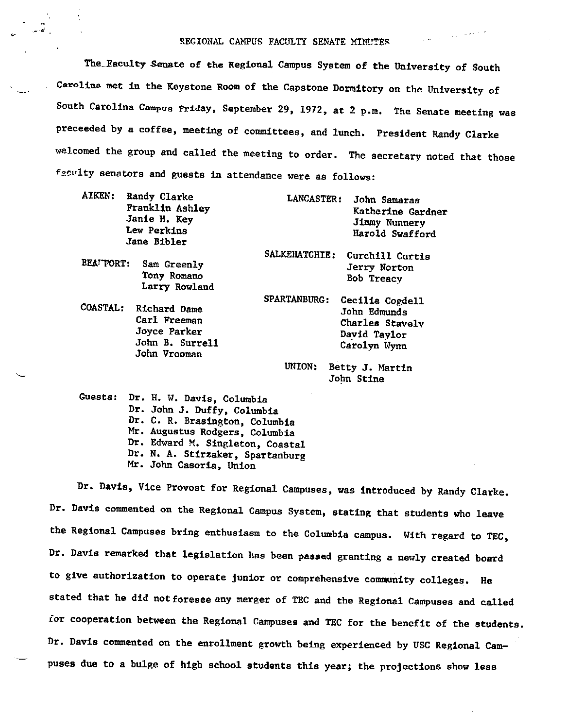#### REGIONAL CAMPUS FACULTY SENATE MINUTES

 $\frac{1}{2} \left( \frac{1}{2} \right)$  , where  $\frac{1}{2} \left( \frac{1}{2} \right)$  , where  $\frac{1}{2} \left( \frac{1}{2} \right)$ 

The Faculty Senate of the Regional Campus System of the University of South Carolina met in the Keystone Room of the Capstone Dormitory on the University of South Carolina Campus Friday, September 29, 1972, at 2 p.m. The Senate meeting was preceeded by a coffee, meeting of committees, and lunch. President Randy Clarke welcomed the group and called the meeting to order. The secretary noted that those f2.cvlty senators and guests in attendance were as follows:

| AIKEN:    | Randy Clarke<br>Franklin Ashley<br>Janie H. Key<br>Lew Perkins<br>Jane Bibler            | LANCASTER:    | John Samaras<br>Katherine Gardner<br>Jimmy Nunnery<br>Harold Swafford              |
|-----------|------------------------------------------------------------------------------------------|---------------|------------------------------------------------------------------------------------|
| BEATTORT: | Sam Greenly<br>Tony Romano<br>Larry Rowland                                              | SALKEHATCHIE: | Curchill Curtis<br>Jerry Norton<br>Bob Treacy                                      |
|           | COASTAL: Richard Dame<br>Carl Freeman<br>Joyce Parker<br>John B. Surrell<br>John Vrooman | SPARTANBURG:  | Cecilia Cogdell<br>John Edmunds<br>Charles Stavely<br>David Taylor<br>Carolyn Wynn |

UNION: Betty J. Martin John Stine

Guesta: Dr. H. W. Davis, Columbia Dr. John J. Duffy, Columbia Dr. C.R. Brasington, Columbia Mr. Augustus Rodgers, Columbia Dr. Edward M. Singleton, Coastal Dr. N. A. Stirzaker, Spartanburg Mr. John Casoria, Union

Dr. Davis, Vice Provost for Regional Campuses, was introduced by Randy Clarke. Dr. Davis commented on the Regional Campus System, stating that students who leave the Regional Campuses bring enthusiasm to the Columbia campus. With regard to TEC, Dr. Davis remarked that legislation has been passed granting a newly created board to give authorization to operate junior or comprehensive community colleges. He stated that he did not foresee any merger of TEC and the Regional Campuses and called *ior* cooperation between the Regional Campuses and TEC for the benefit of the students. Dr. Davis commented on the enrollment growth being experienced by USC Regional Campuses due to a bulge of high school students this year; the projections show less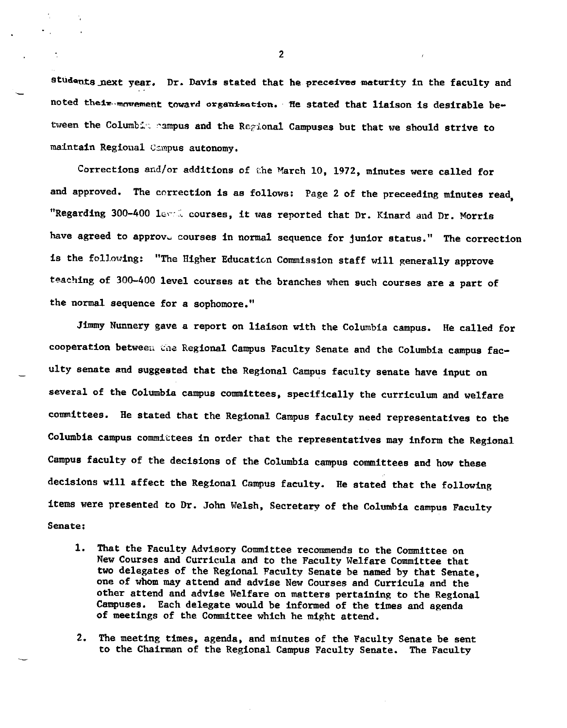students next year. Dr. Davis stated that he preceives maturity in the faculty and noted their movement toward organization. He stated that liaison is desirable between the Columbia campus and the Regional Campuses but that we should strive to maintain Regional Campus autonomy.

Corrections and/or additions of the March 10, 1972, minutes were called for and approved, The correction is as follows: Page 2 of the preceeding minutes read, "Regarding 300-400 level courses, it was reported that Dr. Kinard and Dr. Morris have agreed to approve courses in normal sequence for junior status." The correction is the following: "The Higher Education Commission staff will generally approve teaching of 300-400 level courses at the branches when such courses are a part of the normal sequence for a sophomore,"

Jimmy Nunnery gave a report on liaison with the Columbia campus. He called for cooperation between the Regional Campus Faculty Senate and the Columbia campus faculty senate and suggested that the Regional Campus faculty senate have input on several of the Columbia campus committees, specifically the curriculum and welfare committees. He stated that the Regional Campus faculty need representatives to the Columbia campus committees in order that the representatives may inform the Regional Campus faculty of the decisions of the Columbia campus committees and how these decisions will affect the Regional Campus faculty. He stated that the following items were presented to Dr. John Welsh, Secretary of the Columbia campus Faculty Senate:

- 1. That the Faculty Advisory Committee recommends to the Committee on New Courses and Curricula and to the Faculty Welfare Committee that two delegates of the Regional Faculty Senate be named by that Senate, one of whom may attend and advise New Courses and Curricula and the other attend and advise Welfare on matters pertaining to the Regional Campuses. Each delegate would be informed of the times and agenda of meetings of the Committee which he might attend,
- 2. The meeting times, agenda, and minutes of the Faculty Senate be sent to the Chairman of the Regional Campus Faculty Senate. The Faculty

2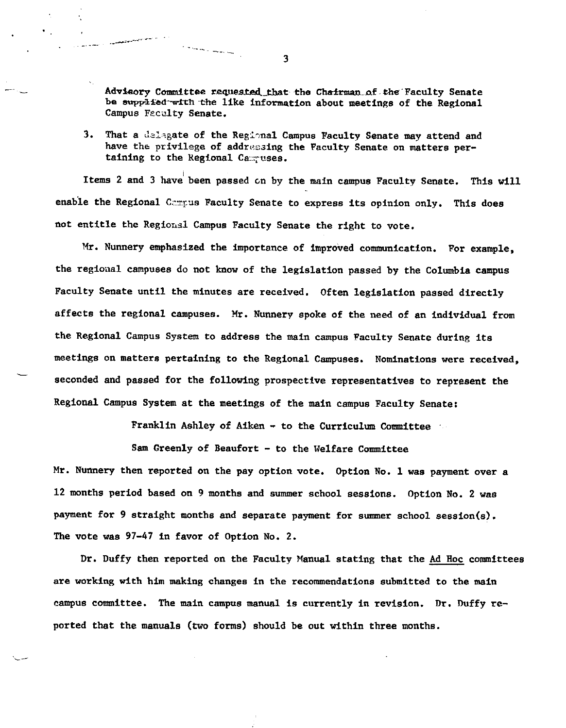Advisory Committee requested that the Chairman of the Faculty Senate be supplied-with the like information about meetings of the Regional Campus Faculty Senate.

3. That a delegate of the Regional Campus Faculty Senate may attend and have the privilege of addressing the Faculty Senate on matters pertaining to the Regional Campuses.

Items 2 and 3 have been passed on by the main campus Faculty Senate. This will enable the Regional Compus Faculty Senate to express its opinion only. This does not entitle the Regional Campus Faculty Senate the right to vote.

Mr. Nunnery emphasized the importance of improved communication. For example, the regioaal campuses do not know of the legislation passed by the Columbia campus Faculty Senate until the minutes are received. Often legislation passed directly affects the regional campuses. Mr. Nunnery spoke of the need of an individual from the Regional Campus System to address the main campus Faculty Senate during its meetings on matters pertaining to the Regional Campuses. Nominations were received, seconded and passed for the following prospective representatives to represent the Regional Campus System at the meetings of the main campus Faculty Senate:

Franklin Ashley of Aiken - to the Curriculum Committee

Sam Greenly of Beaufort - to the Welfare Committee

Mr. Nunnery then reported on the pay option vote. Option No. 1 was payment over a 12 months period based on 9 months and summer school sessions. Option No. 2 was payment for 9 straight months and separate payment for summer school session(s). The vote was 97-47 in favor of Option No, 2.

Dr. Duffy then reported on the Faculty Manual stating that the Ad Hoc committees are working with him making changes in the recommendations submitted to the main campus committee. The main campus manual is currently in revision. Dr. Duffy reported that the manuals (two forms) should be out within three months.

3

and the state of the state of the contract of the contract of the contract of the contract of the contract of

**Service**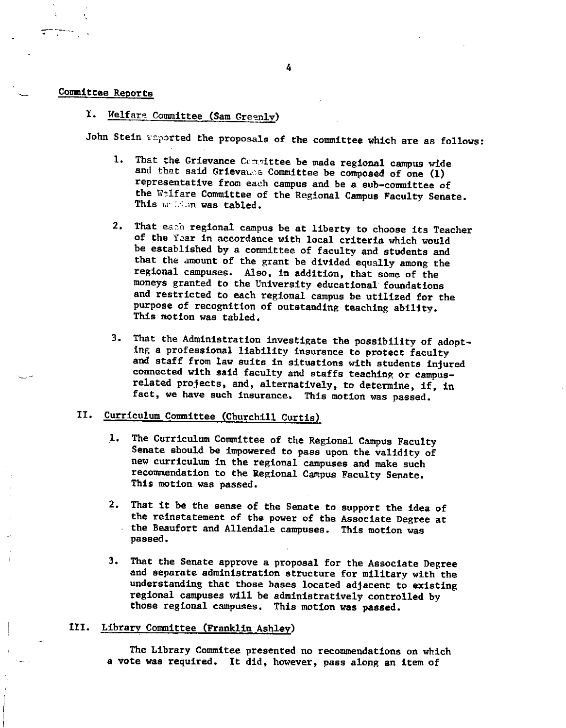### Committee Reports

### 1. Welfare Committee (Sam Greenly)

John Stein reported the proposals of the committee which are as follows:

- 1. That the Grievance Committee be made regional campus wide and that said Grievance Committee be composed of one (1) representative from each campus and be a sub-committee of the Walfare Committee of the Regional Campus Faculty Senate.<br>This mateum was tabled.
- 2. That each regional campus be at liberty to choose its Teacher of the Year in accordance with local criteria which would be established by a committee of faculty and students and that the amount of the grant be divided equally among the regional campuses. Also, in addition, that some of the moneys granted to the University educational foundations and restricted to each regional campus be utilized for the purpose of recognition of outstanding teaching ability. This motion was tabled.
- 3. That the Administration investigate the possibility of adopt-<br>ing a professional liability insurance to protect faculty<br>and staff from law suits in situations with students injured<br>connected with said faculty and staffs related projects, and, alternatively, to determine, if, in fact, we have such insurance, This motion was passed.

# II. Curriculum Committee (Churchill Curtis)

- 1. The Curriculum Committee of the Regional Campus Faculty Senate should be impowered to pass upon the validity of new curriculum in the regional campuses and make such recommendation to the Regional Campus Faculty Senate. This motion was passed.
- 2. That it be the sense of the Senate to support the idea of the reinstatement of the power of the Associate Degree at the Beaufort and Allendale campuses. This motion was<br>passed.
- 3. That the Senate approve a proposal for the Associate Degree and separate administration structure for military with the understanding that those bases located adjacent to existing regional campuses will be administratively controlled by those regional campuses, This motion was passed.

#### III. Library Committee (Franklin Ashley)

The Library Commitee presented no recommendations on which <sup>a</sup>vote was required. It did, however, pass along an item of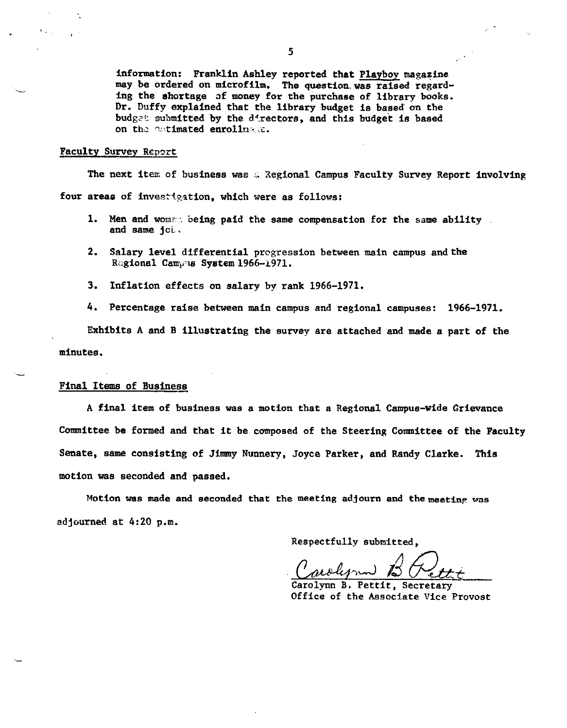information: Franklin Ashley reported that Playboy magazine may be ordered on microfilm. The question.was raised regarding the shortage of money for the purchase of library books. Dr. Duffy explained that the library budget is based on the budget submitted by the directors, and this budget is based on the catimated enrolluses.

#### Faculty Survey Report

·-

The next item of business was  $\alpha$  Regional Campus Faculty Survey Report involving four areas of investigation, which were as follows:

- 1. Men and woman being paid the same compensation for the same ability. and same jci.
- 2. Salary level differential progression between main campus and the Rc;gional Camv1s **System** 1966-1971.
- 3. Inflation effects on salary by rank 1966-1971.
- 4. Percentage raise between main campus and regional campuses: 1966-1971.

Exhibits A and B illustrating the survey are attached and made a part of the minutes.

#### Final Items of Business

A final item of business was a motion that a Regional Campus-wide Grievance Committee be formed and that it be composed of the Steering Committee of the Faculty Senate, same consisting of Jimmy Nunnery, Joyce Parker, and Randy Clarke. This motion was seconded and passed.

Motion was made and seconded that the meeting adjourn and the meeting was 2djourned at 4:20 p.m.

Respectfully submitted,

Carolynn B. Cett

Office of the Associate Vice Provost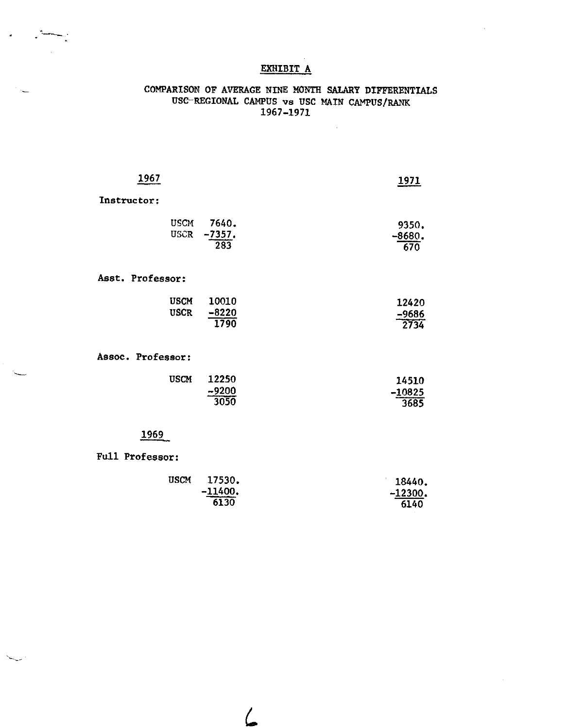## EXHIBIT A

### COMPARISON OF AVERAGE NINE MONTH SALARY DIFFERENTIALS USC-REGIONAL CAMPUS vs USC MAIN CAMPUS/RANK 1967-1971

 $\sim$ 

| 1967                       |                          | 1971                      |
|----------------------------|--------------------------|---------------------------|
| Instructor:                |                          |                           |
| <b>USCM</b><br><b>USCR</b> | 7640.<br>$-7357.$<br>283 | 9350.<br>$-8680.$<br>670  |
| Asst. Professor:           |                          |                           |
| <b>USCM</b><br><b>USCR</b> | 10010<br>$-8220$<br>1790 | 12420<br>$-9686$<br>2734  |
| Assoc. Professor:          |                          |                           |
| <b>USCM</b>                | 12250<br>$-9200$<br>3050 | 14510<br>$-10825$<br>3685 |

# 1969

Full Professor:

ا با پیش<del>ت مس</del>ا

 $\hat{\mathbf{r}}$ 

| <b>USCM</b> | 17530.                        | 18440.    |
|-------------|-------------------------------|-----------|
|             | $-11400.$<br>________________ | $-12300.$ |
|             | 6130                          | 6140      |

 $\mathcal{L}$